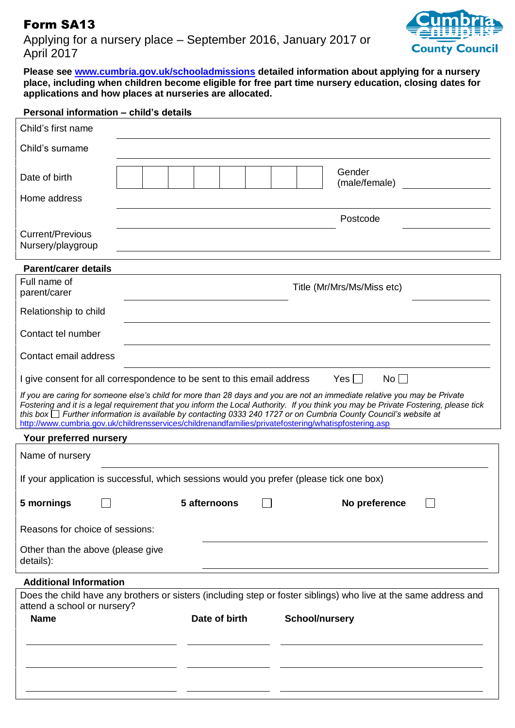## Form SA13

Applying for a nursery place – September 2016, January 2017 or April 2017



**Please see [www.cumbria.gov.uk/schooladmissions](http://www.cumbria.gov.uk/schooladmissions) detailed information about applying for a nursery place, including when children become eligible for free part time nursery education, closing dates for applications and how places at nurseries are allocated.**

| Child's first name                                                                                                                                                                                                                                                                                                                                                                    |                                                                                                                  |  |  |  |  |
|---------------------------------------------------------------------------------------------------------------------------------------------------------------------------------------------------------------------------------------------------------------------------------------------------------------------------------------------------------------------------------------|------------------------------------------------------------------------------------------------------------------|--|--|--|--|
| Child's surname                                                                                                                                                                                                                                                                                                                                                                       |                                                                                                                  |  |  |  |  |
| Date of birth                                                                                                                                                                                                                                                                                                                                                                         | Gender<br>(male/female)                                                                                          |  |  |  |  |
| Home address                                                                                                                                                                                                                                                                                                                                                                          |                                                                                                                  |  |  |  |  |
| <b>Current/Previous</b><br>Nursery/playgroup                                                                                                                                                                                                                                                                                                                                          | Postcode                                                                                                         |  |  |  |  |
| <b>Parent/carer details</b>                                                                                                                                                                                                                                                                                                                                                           |                                                                                                                  |  |  |  |  |
| Full name of<br>parent/carer                                                                                                                                                                                                                                                                                                                                                          | Title (Mr/Mrs/Ms/Miss etc)                                                                                       |  |  |  |  |
| Relationship to child                                                                                                                                                                                                                                                                                                                                                                 |                                                                                                                  |  |  |  |  |
| Contact tel number                                                                                                                                                                                                                                                                                                                                                                    |                                                                                                                  |  |  |  |  |
| Contact email address                                                                                                                                                                                                                                                                                                                                                                 |                                                                                                                  |  |  |  |  |
| $Yes \Box$<br>No<br>I give consent for all correspondence to be sent to this email address                                                                                                                                                                                                                                                                                            |                                                                                                                  |  |  |  |  |
| If you are caring for someone else's child for more than 28 days and you are not an immediate relative you may be Private<br>Fostering and it is a legal requirement that you inform the Local Authority. If you think you may be Private Fostering, please tick<br>this box I Further information is available by contacting 0333 240 1727 or on Cumbria County Council's website at |                                                                                                                  |  |  |  |  |
|                                                                                                                                                                                                                                                                                                                                                                                       |                                                                                                                  |  |  |  |  |
| Your preferred nursery                                                                                                                                                                                                                                                                                                                                                                | http://www.cumbria.gov.uk/childrensservices/childrenandfamilies/privatefostering/whatispfostering.asp            |  |  |  |  |
| Name of nursery                                                                                                                                                                                                                                                                                                                                                                       |                                                                                                                  |  |  |  |  |
|                                                                                                                                                                                                                                                                                                                                                                                       | If your application is successful, which sessions would you prefer (please tick one box)                         |  |  |  |  |
| 5 mornings                                                                                                                                                                                                                                                                                                                                                                            | 5 afternoons<br>No preference                                                                                    |  |  |  |  |
| Reasons for choice of sessions:                                                                                                                                                                                                                                                                                                                                                       |                                                                                                                  |  |  |  |  |
| Other than the above (please give<br>details):                                                                                                                                                                                                                                                                                                                                        |                                                                                                                  |  |  |  |  |
| <b>Additional Information</b>                                                                                                                                                                                                                                                                                                                                                         |                                                                                                                  |  |  |  |  |
| attend a school or nursery?                                                                                                                                                                                                                                                                                                                                                           | Does the child have any brothers or sisters (including step or foster siblings) who live at the same address and |  |  |  |  |
| <b>Name</b>                                                                                                                                                                                                                                                                                                                                                                           | Date of birth<br><b>School/nursery</b>                                                                           |  |  |  |  |
|                                                                                                                                                                                                                                                                                                                                                                                       |                                                                                                                  |  |  |  |  |
|                                                                                                                                                                                                                                                                                                                                                                                       |                                                                                                                  |  |  |  |  |